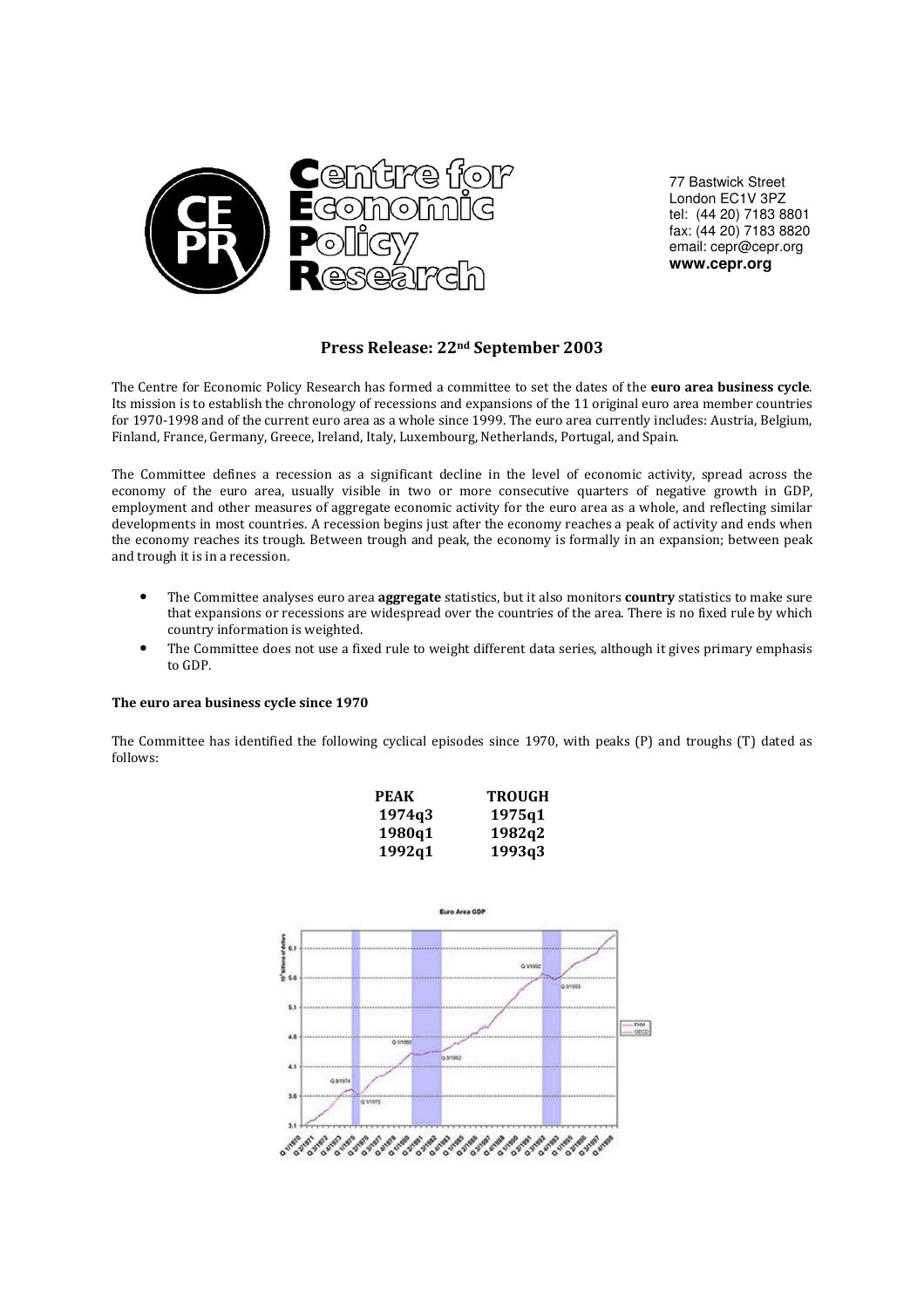

77 Bastwick Street London EC1V 3PZ tel: (44 20) 7183 8801 fax: (44 20) 7183 8820 email: cepr@cepr.org **www.cepr.org**

# Press Release: 22nd September 2003

The Centre for Economic Policy Research has formed a committee to set the dates of the **euro area business cycle**. Its mission is to establish the chronology of recessions and expansions of the 11 original euro area member countries for 1970-1998 and of the current euro area as a whole since 1999. The euro area currently includes: Austria, Belgium, Finland, France, Germany, Greece, Ireland, Italy, Luxembourg, Netherlands, Portugal, and Spain.

The Committee defines a recession as a significant decline in the level of economic activity, spread across the economy of the euro area, usually visible in two or more consecutive quarters of negative growth in GDP, employment and other measures of aggregate economic activity for the euro area as a whole, and reflecting similar developments in most countries. A recession begins just after the economy reaches a peak of activity and ends when the economy reaches its trough. Between trough and peak, the economy is formally in an expansion; between peak and trough it is in a recession.

- The Committee analyses euro area **aggregate** statistics, but it also monitors **country** statistics to make sure that expansions or recessions are widespread over the countries of the area. There is no fixed rule by which country information is weighted.
- The Committee does not use a fixed rule to weight different data series, although it gives primary emphasis to GDP.

### The euro area business cycle since 1970

The Committee has identified the following cyclical episodes since 1970, with peaks (P) and troughs (T) dated as follows:

| <b>PEAK</b> | TROUGH |
|-------------|--------|
| 1974q3      | 1975q1 |
| 1980q1      | 1982a2 |
| 1992q1      | 1993q3 |